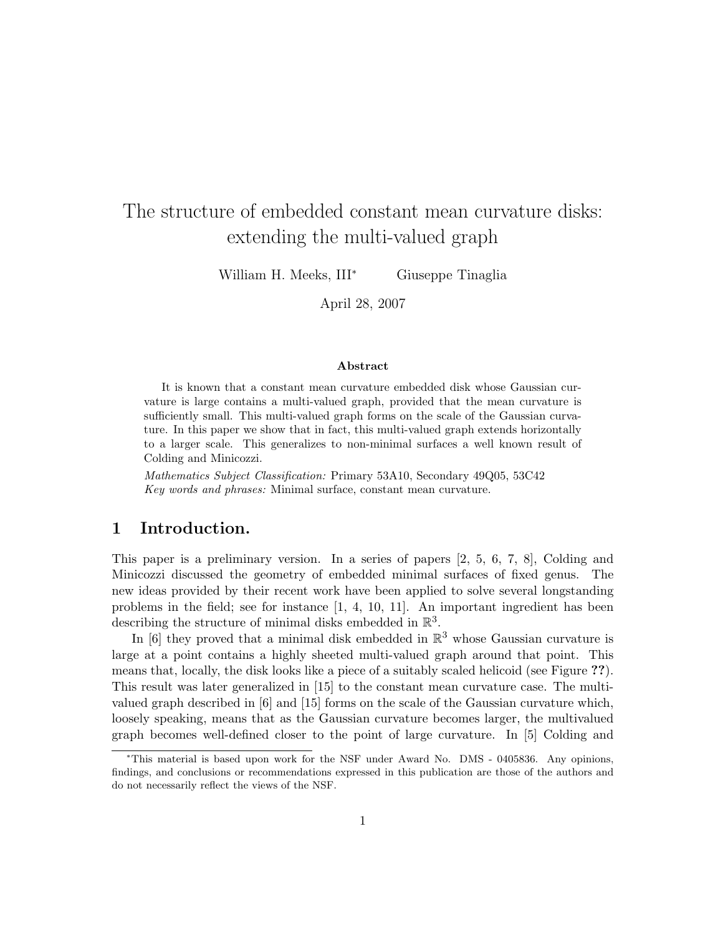# The structure of embedded constant mean curvature disks: extending the multi-valued graph

William H. Meeks, III<sup>∗</sup> Giuseppe Tinaglia

April 28, 2007

#### Abstract

It is known that a constant mean curvature embedded disk whose Gaussian curvature is large contains a multi-valued graph, provided that the mean curvature is sufficiently small. This multi-valued graph forms on the scale of the Gaussian curvature. In this paper we show that in fact, this multi-valued graph extends horizontally to a larger scale. This generalizes to non-minimal surfaces a well known result of Colding and Minicozzi.

Mathematics Subject Classification: Primary 53A10, Secondary 49Q05, 53C42 Key words and phrases: Minimal surface, constant mean curvature.

#### 1 Introduction.

This paper is a preliminary version. In a series of papers [2, 5, 6, 7, 8], Colding and Minicozzi discussed the geometry of embedded minimal surfaces of fixed genus. The new ideas provided by their recent work have been applied to solve several longstanding problems in the field; see for instance [1, 4, 10, 11]. An important ingredient has been describing the structure of minimal disks embedded in  $\mathbb{R}^3$ .

In [6] they proved that a minimal disk embedded in  $\mathbb{R}^3$  whose Gaussian curvature is large at a point contains a highly sheeted multi-valued graph around that point. This means that, locally, the disk looks like a piece of a suitably scaled helicoid (see Figure ??). This result was later generalized in [15] to the constant mean curvature case. The multivalued graph described in [6] and [15] forms on the scale of the Gaussian curvature which, loosely speaking, means that as the Gaussian curvature becomes larger, the multivalued graph becomes well-defined closer to the point of large curvature. In [5] Colding and

<sup>∗</sup>This material is based upon work for the NSF under Award No. DMS - 0405836. Any opinions, findings, and conclusions or recommendations expressed in this publication are those of the authors and do not necessarily reflect the views of the NSF.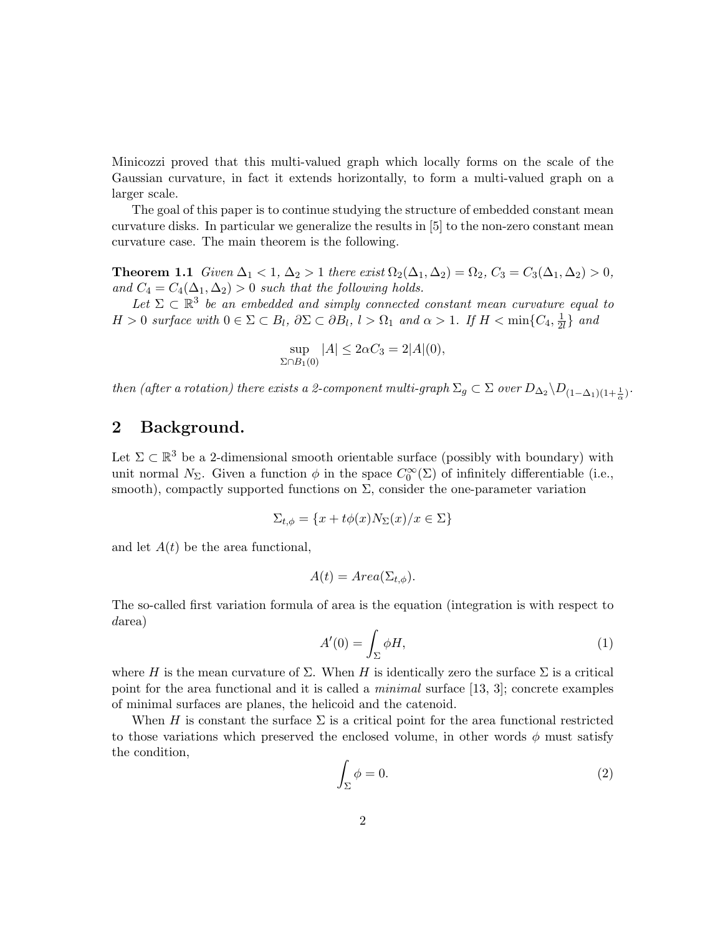Minicozzi proved that this multi-valued graph which locally forms on the scale of the Gaussian curvature, in fact it extends horizontally, to form a multi-valued graph on a larger scale.

The goal of this paper is to continue studying the structure of embedded constant mean curvature disks. In particular we generalize the results in [5] to the non-zero constant mean curvature case. The main theorem is the following.

**Theorem 1.1** Given  $\Delta_1 < 1$ ,  $\Delta_2 > 1$  there exist  $\Omega_2(\Delta_1, \Delta_2) = \Omega_2$ ,  $C_3 = C_3(\Delta_1, \Delta_2) > 0$ , and  $C_4 = C_4(\Delta_1, \Delta_2) > 0$  such that the following holds.

Let  $\Sigma \subset \mathbb{R}^3$  be an embedded and simply connected constant mean curvature equal to  $H > 0$  surface with  $0 \in \Sigma \subset B_l$ ,  $\partial \Sigma \subset \partial B_l$ ,  $l > \Omega_1$  and  $\alpha > 1$ . If  $H < \min\{C_4, \frac{1}{2l}\}$  $rac{1}{2l}$  and

$$
\sup_{\Sigma \cap B_1(0)} |A| \le 2\alpha C_3 = 2|A|(0),
$$

then (after a rotation) there exists a 2-component multi-graph  $\Sigma_g \subset \Sigma$  over  $D_{\Delta_2}\backslash D_{(1-\Delta_1)(1+\frac{1}{\alpha})}$ .

# 2 Background.

Let  $\Sigma \subset \mathbb{R}^3$  be a 2-dimensional smooth orientable surface (possibly with boundary) with unit normal  $N_{\Sigma}$ . Given a function  $\phi$  in the space  $C_0^{\infty}(\Sigma)$  of infinitely differentiable (i.e., smooth), compactly supported functions on  $\Sigma$ , consider the one-parameter variation

$$
\Sigma_{t,\phi} = \{x + t\phi(x)N_{\Sigma}(x)/x \in \Sigma\}
$$

and let  $A(t)$  be the area functional,

$$
A(t) = Area(\Sigma_{t,\phi}).
$$

The so-called first variation formula of area is the equation (integration is with respect to darea)

$$
A'(0) = \int_{\Sigma} \phi H,\tag{1}
$$

where H is the mean curvature of  $\Sigma$ . When H is identically zero the surface  $\Sigma$  is a critical point for the area functional and it is called a *minimal* surface  $[13, 3]$ ; concrete examples of minimal surfaces are planes, the helicoid and the catenoid.

When H is constant the surface  $\Sigma$  is a critical point for the area functional restricted to those variations which preserved the enclosed volume, in other words  $\phi$  must satisfy the condition,

$$
\int_{\Sigma} \phi = 0. \tag{2}
$$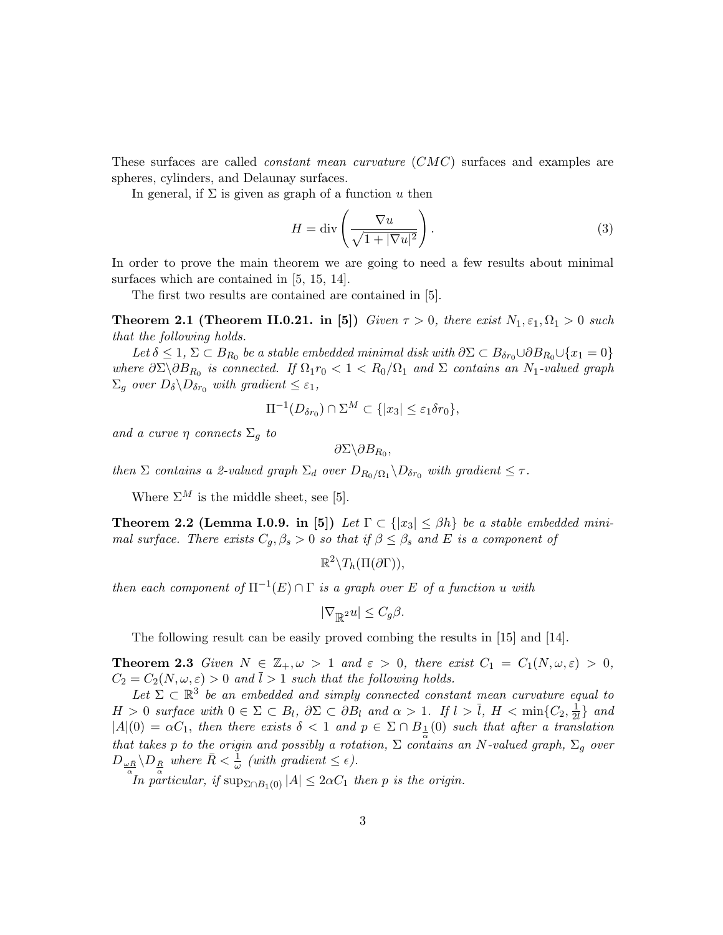These surfaces are called constant mean curvature (CMC) surfaces and examples are spheres, cylinders, and Delaunay surfaces.

In general, if  $\Sigma$  is given as graph of a function u then

$$
H = \operatorname{div}\left(\frac{\nabla u}{\sqrt{1 + |\nabla u|^2}}\right). \tag{3}
$$

In order to prove the main theorem we are going to need a few results about minimal surfaces which are contained in  $[5, 15, 14]$ .

The first two results are contained are contained in [5].

**Theorem 2.1 (Theorem II.0.21. in [5])** Given  $\tau > 0$ , there exist  $N_1, \varepsilon_1, \Omega_1 > 0$  such that the following holds.

Let  $\delta \leq 1$ ,  $\Sigma \subset B_{R_0}$  be a stable embedded minimal disk with  $\partial \Sigma \subset B_{\delta r_0} \cup \partial B_{R_0} \cup \{x_1 = 0\}$ where  $\partial \Sigma \backslash \partial B_{R_0}$  is connected. If  $\Omega_1 r_0 < 1 < R_0/\Omega_1$  and  $\Sigma$  contains an  $N_1$ -valued graph  $\Sigma_g$  over  $D_\delta \backslash D_{\delta r_0}$  with gradient  $\leq \varepsilon_1$ ,

$$
\Pi^{-1}(D_{\delta r_0}) \cap \Sigma^M \subset \{|x_3| \le \varepsilon_1 \delta r_0\},\
$$

and a curve  $\eta$  connects  $\Sigma_g$  to

$$
\partial \Sigma \backslash \partial B_{R_0},
$$

then  $\Sigma$  contains a 2-valued graph  $\Sigma_d$  over  $D_{R_0/\Omega_1} \backslash D_{\delta r_0}$  with gradient  $\leq \tau$ .

Where  $\Sigma^M$  is the middle sheet, see [5].

**Theorem 2.2 (Lemma I.0.9. in [5])** Let  $\Gamma \subset \{|x_3| \leq \beta h\}$  be a stable embedded minimal surface. There exists  $C_g$ ,  $\beta_s > 0$  so that if  $\beta \leq \beta_s$  and E is a component of

```
\mathbb{R}^2 \setminus T_h(\Pi(\partial \Gamma)),
```
then each component of  $\Pi^{-1}(E) \cap \Gamma$  is a graph over E of a function u with

$$
|\nabla_{\mathbb{R}^2} u| \le C_g \beta.
$$

The following result can be easily proved combing the results in [15] and [14].

**Theorem 2.3** Given  $N \in \mathbb{Z}_+, \omega > 1$  and  $\varepsilon > 0$ , there exist  $C_1 = C_1(N, \omega, \varepsilon) > 0$ ,  $C_2 = C_2(N, \omega, \varepsilon) > 0$  and  $\overline{l} > 1$  such that the following holds.

Let  $\Sigma \subset \mathbb{R}^3$  be an embedded and simply connected constant mean curvature equal to  $H > 0$  surface with  $0 \in \Sigma \subset B_l$ ,  $\partial \Sigma \subset \partial B_l$  and  $\alpha > 1$ . If  $l > \overline{l}$ ,  $H < \min\{C_2, \frac{1}{2l}\}$  $\frac{1}{2l}$  and  $|A|(0) = \alpha C_1$ , then there exists  $\delta < 1$  and  $p \in \Sigma \cap B_{\frac{1}{\alpha}}(0)$  such that after a translation that takes p to the origin and possibly a rotation,  $\Sigma$  contains an N-valued graph,  $\Sigma_g$  over  $D_{\frac{\omega \bar{R}}{\alpha}} \backslash D_{\frac{\bar{R}}{\alpha}}$  where  $\bar{R} < \frac{1}{\omega}$  (with gradient  $\leq \epsilon$ ).

In particular, if  $\sup_{\Sigma \cap B_1(0)} |A| \leq 2\alpha C_1$  then p is the origin.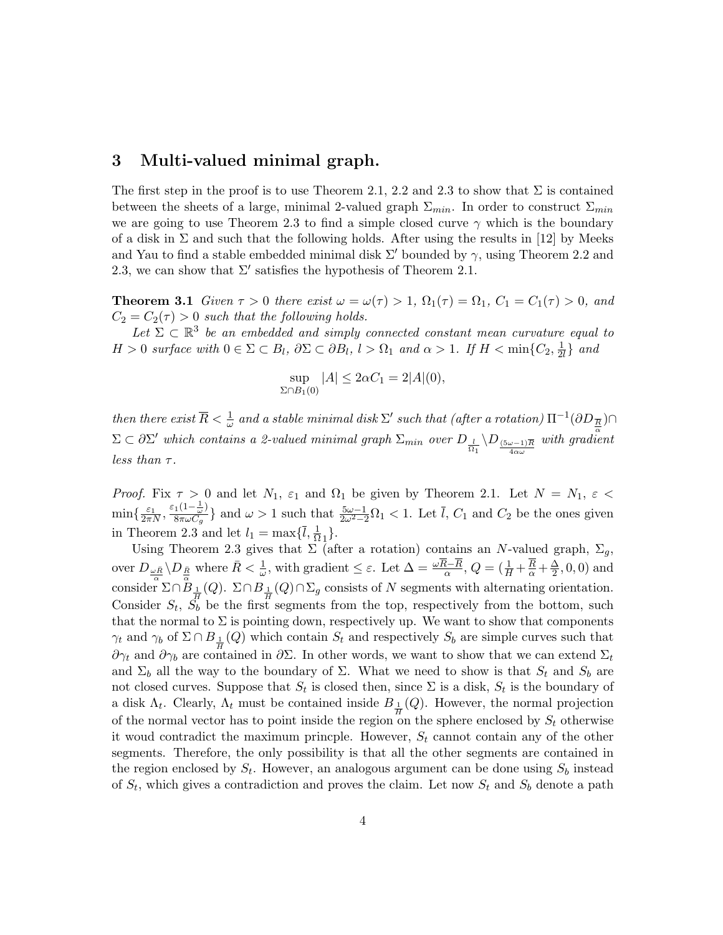#### 3 Multi-valued minimal graph.

The first step in the proof is to use Theorem 2.1, 2.2 and 2.3 to show that  $\Sigma$  is contained between the sheets of a large, minimal 2-valued graph  $\Sigma_{min}$ . In order to construct  $\Sigma_{min}$ we are going to use Theorem 2.3 to find a simple closed curve  $\gamma$  which is the boundary of a disk in  $\Sigma$  and such that the following holds. After using the results in [12] by Meeks and Yau to find a stable embedded minimal disk  $\Sigma'$  bounded by  $\gamma$ , using Theorem 2.2 and 2.3, we can show that  $\Sigma'$  satisfies the hypothesis of Theorem 2.1.

**Theorem 3.1** Given  $\tau > 0$  there exist  $\omega = \omega(\tau) > 1$ ,  $\Omega_1(\tau) = \Omega_1$ ,  $C_1 = C_1(\tau) > 0$ , and  $C_2 = C_2(\tau) > 0$  such that the following holds.

Let  $\Sigma \subset \mathbb{R}^3$  be an embedded and simply connected constant mean curvature equal to  $H > 0$  surface with  $0 \in \Sigma \subset B_l$ ,  $\partial \Sigma \subset \partial B_l$ ,  $l > \Omega_1$  and  $\alpha > 1$ . If  $H < \min\{C_2, \frac{1}{2l}\}$  $\frac{1}{2l}$  and

$$
\sup_{\Sigma \cap B_1(0)} |A| \le 2\alpha C_1 = 2|A|(0),
$$

then there exist  $\overline{R} < \frac{1}{\omega}$  and a stable minimal disk  $\Sigma'$  such that (after a rotation)  $\Pi^{-1}(\partial D_{\overline{R}}) \cap$  $\Sigma \subset \partial \Sigma'$  which contains a 2-valued minimal graph  $\Sigma_{min}$  over  $D_{\frac{l}{\Omega_1}} \setminus D_{\frac{(5\omega-1)\overline{R}}{4\alpha\omega}}$  with gradient less than  $\tau$ .

*Proof.* Fix  $\tau > 0$  and let  $N_1$ ,  $\varepsilon_1$  and  $\Omega_1$  be given by Theorem 2.1. Let  $N = N_1$ ,  $\varepsilon <$  $\min\{\frac{\varepsilon_1}{2\pi N}, \frac{\varepsilon_1(1-\frac{1}{\omega})}{8\pi \omega C_q}$  $\frac{1}{8\pi\omega C_g}$  and  $\omega > 1$  such that  $\frac{5\omega - 1}{2\omega^2 - 2}\Omega_1 < 1$ . Let  $\overline{l}$ ,  $C_1$  and  $C_2$  be the ones given in Theorem 2.3 and let  $l_1 = \max\{\overline{l}, \frac{1}{\Omega_1}\}.$ 

Using Theorem 2.3 gives that  $\Sigma$  (after a rotation) contains an N-valued graph,  $\Sigma_q$ , over  $D_{\frac{\omega \bar{R}}{\alpha}} \setminus D_{\frac{\bar{R}}{\alpha}}$  where  $\bar{R} < \frac{1}{\omega}$ , with gradient  $\leq \varepsilon$ . Let  $\Delta = \frac{\omega \overline{R} - \overline{R}}{\alpha}$ ,  $Q = (\frac{1}{H} + \frac{\overline{R}}{\alpha} + \frac{\Delta}{2})$  $\frac{\Delta}{2}$ , 0, 0) and consider  $\Sigma \cap B_{\frac{1}{H}}(Q)$ .  $\Sigma \cap B_{\frac{1}{H}}(Q) \cap \Sigma_g$  consists of N segments with alternating orientation. Consider  $S_t$ ,  $S_b$  be the first segments from the top, respectively from the bottom, such that the normal to  $\Sigma$  is pointing down, respectively up. We want to show that components  $\gamma_t$  and  $\gamma_b$  of  $\Sigma \cap B_{\frac{1}{H}}(Q)$  which contain  $S_t$  and respectively  $S_b$  are simple curves such that  $\partial \gamma_t$  and  $\partial \gamma_b$  are contained in  $\partial \Sigma$ . In other words, we want to show that we can extend  $\Sigma_t$ and  $\Sigma_b$  all the way to the boundary of  $\Sigma$ . What we need to show is that  $S_t$  and  $S_b$  are not closed curves. Suppose that  $S_t$  is closed then, since  $\Sigma$  is a disk,  $S_t$  is the boundary of a disk  $\Lambda_t$ . Clearly,  $\Lambda_t$  must be contained inside  $B_{\frac{1}{H}}(Q)$ . However, the normal projection of the normal vector has to point inside the region on the sphere enclosed by  $S_t$  otherwise it woud contradict the maximum princple. However,  $S_t$  cannot contain any of the other segments. Therefore, the only possibility is that all the other segments are contained in the region enclosed by  $S_t$ . However, an analogous argument can be done using  $S_b$  instead of  $S_t$ , which gives a contradiction and proves the claim. Let now  $S_t$  and  $S_b$  denote a path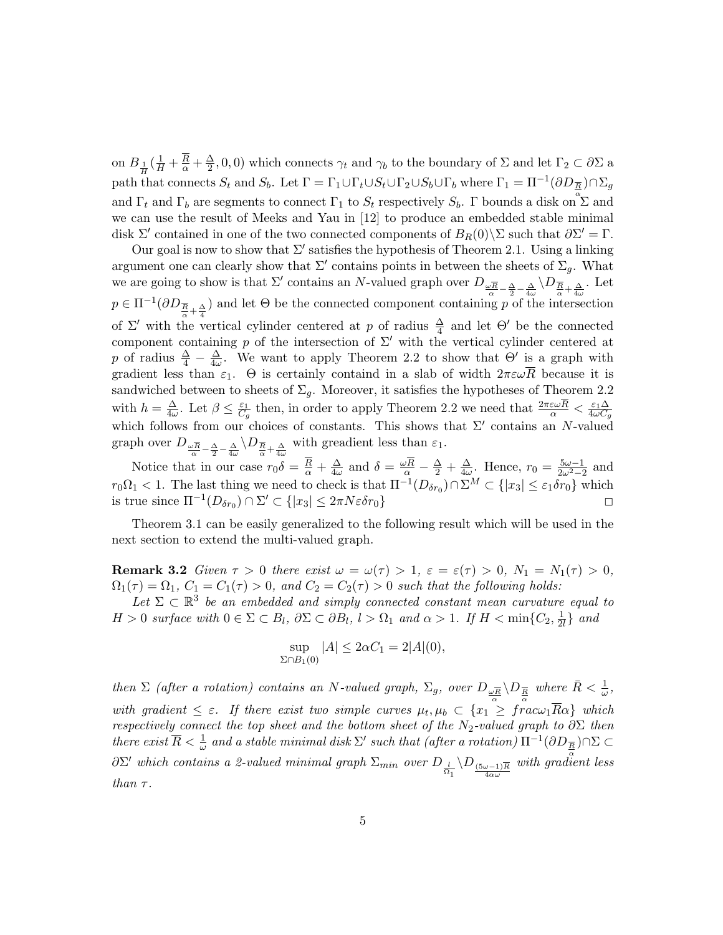on  $B_{\frac{1}{H}}\left(\frac{1}{H} + \frac{R}{\alpha} + \frac{\Delta}{2}\right)$  $(\frac{\Delta}{2}, 0, 0)$  which connects  $\gamma_t$  and  $\gamma_b$  to the boundary of  $\Sigma$  and let  $\Gamma_2 \subset \partial \Sigma$  a path that connects  $S_t$  and  $S_b$ . Let  $\Gamma = \Gamma_1 \cup \Gamma_t \cup S_t \cup \Gamma_2 \cup S_b \cup \Gamma_b$  where  $\Gamma_1 = \Pi^{-1}(\partial D_{\overline{R}}) \cap \Sigma_g$ and  $\Gamma_t$  and  $\Gamma_b$  are segments to connect  $\Gamma_1$  to  $S_t$  respectively  $S_b$ .  $\Gamma$  bounds a disk on  $\mathfrak{S}$  and we can use the result of Meeks and Yau in [12] to produce an embedded stable minimal disk  $\Sigma'$  contained in one of the two connected components of  $B_R(0)\setminus\Sigma$  such that  $\partial\Sigma' = \Gamma$ .

Our goal is now to show that  $\Sigma'$  satisfies the hypothesis of Theorem 2.1. Using a linking argument one can clearly show that  $\Sigma'$  contains points in between the sheets of  $\Sigma_g$ . What we are going to show is that  $\Sigma'$  contains an N-valued graph over  $D_{\omega \overline{R}} - \frac{\Delta}{2} - \frac{\Delta}{4\omega} \setminus D_{\overline{R} + \frac{\Delta}{4\omega}}$ . Let  $p \in \Pi^{-1}(\partial D_{\frac{\overline{R}}{\alpha}+\frac{\Delta}{4}})$  and let  $\Theta$  be the connected component containing p of the intersection of  $\Sigma'$  with the vertical cylinder centered at p of radius  $\frac{\Delta}{4}$  and let  $\Theta'$  be the connected component containing p of the intersection of  $\Sigma'$  with the vertical cylinder centered at p of radius  $\frac{\Delta}{4} - \frac{\Delta}{4\omega}$  $\frac{\Delta}{4\omega}$ . We want to apply Theorem 2.2 to show that  $\Theta'$  is a graph with gradient less than  $\varepsilon_1$ .  $\Theta$  is certainly containd in a slab of width  $2\pi\varepsilon\omega\overline{R}$  because it is sandwiched between to sheets of  $\Sigma_g$ . Moreover, it satisfies the hypotheses of Theorem 2.2 with  $h=\frac{\Delta}{4a}$  $\frac{\Delta}{4\omega}$ . Let  $\beta \leq \frac{\varepsilon_1}{C_6}$  $\frac{\varepsilon_1}{C_g}$  then, in order to apply Theorem 2.2 we need that  $\frac{2\pi\varepsilon\omega R}{\alpha} < \frac{\varepsilon_1\Delta}{4\omega C_g}$ which  $h = \frac{1}{4\omega}$ . Let  $p \leq \frac{1}{C_g}$  then, in order to apply Theorem 2.2 we need that  $\frac{1}{\alpha} > 4\omega C_g$  which follows from our choices of constants. This shows that  $\Sigma'$  contains an N-valued graph over  $D_{\frac{\omega \overline{R}}{\alpha} - \frac{\Delta}{2} - \frac{\Delta}{4\omega}} \setminus D_{\frac{\overline{R}}{\alpha} + \frac{\Delta}{4\omega}}$  with greadient less than  $\varepsilon_1$ .

Notice that in our case  $r_0 \delta = \frac{R}{\alpha} + \frac{\Delta}{4\omega}$  $\frac{\Delta}{4\omega}$  and  $\delta = \frac{\omega R}{\alpha} - \frac{\Delta}{2} + \frac{\Delta}{4\omega}$  $\frac{\Delta}{4\omega}$ . Hence,  $r_0 = \frac{5\omega - 1}{2\omega^2 - 2}$  and  $r_0\Omega_1 < 1$ . The last thing we need to check is that  $\Pi^{-1}(D_{\delta r_0}) \cap \Sigma^M \subset \{|x_3| \leq \varepsilon_1 \delta r_0\}$  which is true since  $\Pi^{-1}(D_{\delta r_0}) \cap \Sigma' \subset \{|x_3| \leq 2\pi N \varepsilon \delta r_0\}$ 

Theorem 3.1 can be easily generalized to the following result which will be used in the next section to extend the multi-valued graph.

Remark 3.2 Given  $\tau > 0$  there exist  $\omega = \omega(\tau) > 1$ ,  $\varepsilon = \varepsilon(\tau) > 0$ ,  $N_1 = N_1(\tau) > 0$ ,  $\Omega_1(\tau) = \Omega_1, C_1 = C_1(\tau) > 0$ , and  $C_2 = C_2(\tau) > 0$  such that the following holds:

Let  $\Sigma \subset \mathbb{R}^3$  be an embedded and simply connected constant mean curvature equal to  $H > 0$  surface with  $0 \in \Sigma \subset B_l$ ,  $\partial \Sigma \subset \partial B_l$ ,  $l > \Omega_1$  and  $\alpha > 1$ . If  $H < \min\{C_2, \frac{1}{2l}\}$  $rac{1}{2l}$  and

$$
\sup_{\Sigma \cap B_1(0)} |A| \le 2\alpha C_1 = 2|A|(0),
$$

then  $\Sigma$  (after a rotation) contains an N-valued graph,  $\Sigma_g$ , over  $D_{\underline{\omega} \overline{R}} \setminus D_{\overline{R}}$  where  $\bar{R} < \frac{1}{\omega}$ , with gradient  $\leq \varepsilon$ . If there exist two simple curves  $\mu_t, \mu_b \subset \{x_1 \leq \overbrace{r}^{\alpha} a \omega_1 \overline{R} \alpha\}$  which respectively connect the top sheet and the bottom sheet of the N<sub>2</sub>-valued graph to  $\partial \Sigma$  then there exist  $\overline{R} < \frac{1}{\omega}$  and a stable minimal disk  $\Sigma'$  such that (after a rotation)  $\Pi^{-1}(\partial D_{\overline{R}}) \cap \Sigma \subset$  $\partial\Sigma'$  which contains a 2-valued minimal graph  $\Sigma_{min}$  over  $D_{\frac{l}{\Omega_1}}\setminus D_{\frac{(5\omega-1)\overline{R}}{4\alpha\omega}}$  with gradient less than  $\tau$ .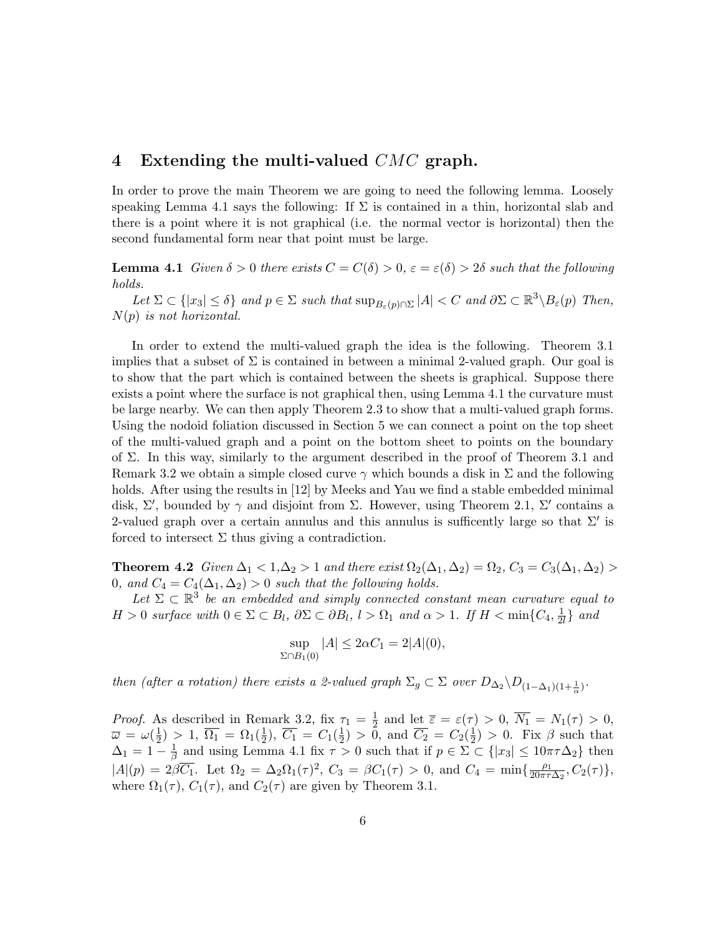## 4 Extending the multi-valued  $CMC$  graph.

In order to prove the main Theorem we are going to need the following lemma. Loosely speaking Lemma 4.1 says the following: If  $\Sigma$  is contained in a thin, horizontal slab and there is a point where it is not graphical (i.e. the normal vector is horizontal) then the second fundamental form near that point must be large.

**Lemma 4.1** Given  $\delta > 0$  there exists  $C = C(\delta) > 0$ ,  $\varepsilon = \varepsilon(\delta) > 2\delta$  such that the following holds.

Let  $\Sigma \subset \{|x_3| \leq \delta\}$  and  $p \in \Sigma$  such that  $\sup_{B_{\varepsilon}(p) \cap \Sigma} |A| < C$  and  $\partial \Sigma \subset \mathbb{R}^3 \setminus B_{\varepsilon}(p)$  Then,  $N(p)$  is not horizontal.

In order to extend the multi-valued graph the idea is the following. Theorem 3.1 implies that a subset of  $\Sigma$  is contained in between a minimal 2-valued graph. Our goal is to show that the part which is contained between the sheets is graphical. Suppose there exists a point where the surface is not graphical then, using Lemma 4.1 the curvature must be large nearby. We can then apply Theorem 2.3 to show that a multi-valued graph forms. Using the nodoid foliation discussed in Section 5 we can connect a point on the top sheet of the multi-valued graph and a point on the bottom sheet to points on the boundary of  $\Sigma$ . In this way, similarly to the argument described in the proof of Theorem 3.1 and Remark 3.2 we obtain a simple closed curve  $\gamma$  which bounds a disk in  $\Sigma$  and the following holds. After using the results in [12] by Meeks and Yau we find a stable embedded minimal disk, Σ', bounded by  $\gamma$  and disjoint from Σ. However, using Theorem 2.1, Σ' contains a 2-valued graph over a certain annulus and this annulus is sufficently large so that  $\Sigma'$  is forced to intersect  $\Sigma$  thus giving a contradiction.

**Theorem 4.2** Given  $\Delta_1 < 1, \Delta_2 > 1$  and there exist  $\Omega_2(\Delta_1, \Delta_2) = \Omega_2$ ,  $C_3 = C_3(\Delta_1, \Delta_2) >$ 0, and  $C_4 = C_4(\Delta_1, \Delta_2) > 0$  such that the following holds.

Let  $\Sigma \subset \mathbb{R}^3$  be an embedded and simply connected constant mean curvature equal to  $H > 0$  surface with  $0 \in \Sigma \subset B_l$ ,  $\partial \Sigma \subset \partial B_l$ ,  $l > \Omega_1$  and  $\alpha > 1$ . If  $H < \min\{C_4, \frac{1}{2l}\}$  $\frac{1}{2l}$  and

$$
\sup_{\Sigma \cap B_1(0)} |A| \le 2\alpha C_1 = 2|A|(0),
$$

then (after a rotation) there exists a 2-valued graph  $\Sigma_g \subset \Sigma$  over  $D_{\Delta_2} \backslash D_{(1-\Delta_1)(1+\frac{1}{\alpha})}$ .

*Proof.* As described in Remark 3.2, fix  $\tau_1 = \frac{1}{2}$  $\frac{1}{2}$  and let  $\overline{\varepsilon} = \varepsilon(\tau) > 0$ ,  $\overline{N_1} = N_1(\tau) > 0$ ,  $\overline{\omega} = \omega(\frac{1}{2})$  $(\frac{1}{2}) > 1, \ \overline{\Omega_1} = \Omega_1(\frac{1}{2})$  $(\frac{1}{2}), \overline{C_1} = C_1(\frac{1}{2})$  $(\frac{1}{2}) > 0$ , and  $\overline{C_2} = C_2(\frac{1}{2})$  $(\frac{1}{2}) > 0$ . Fix  $\beta$  such that  $\Delta_1 = 1 - \frac{1}{\beta}$  $\frac{1}{\beta}$  and using Lemma 4.1 fix  $\tau > 0$  such that if  $p \in \Sigma \subset \{|x_3| \leq 10\pi\tau\Delta_2\}$  then  $|A|(p) = 2\beta\overline{C_1}$ . Let  $\Omega_2 = \Delta_2\Omega_1(\tau)^2$ ,  $C_3 = \beta C_1(\tau) > 0$ , and  $C_4 = \min\{\frac{\rho_1}{20\pi\tau}$  $\frac{\rho_1}{20\pi\tau\Delta_2}, C_2(\tau)\},$ where  $\Omega_1(\tau)$ ,  $C_1(\tau)$ , and  $C_2(\tau)$  are given by Theorem 3.1.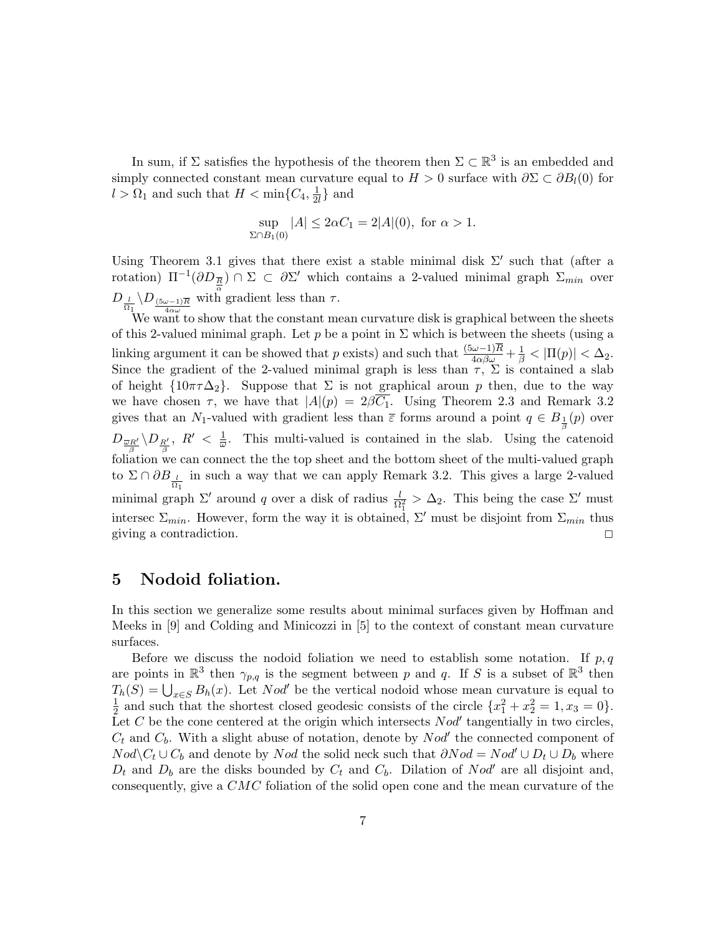In sum, if  $\Sigma$  satisfies the hypothesis of the theorem then  $\Sigma \subset \mathbb{R}^3$  is an embedded and simply connected constant mean curvature equal to  $H > 0$  surface with  $\partial \Sigma \subset \partial B_l(0)$  for  $l > \Omega_1$  and such that  $H < \min\{C_4, \frac{1}{2l}\}$  $\frac{1}{2l}$  and

$$
\sup_{\Sigma \cap B_1(0)} |A| \le 2\alpha C_1 = 2|A|(0), \text{ for } \alpha > 1.
$$

Using Theorem 3.1 gives that there exist a stable minimal disk  $\Sigma'$  such that (after a rotation)  $\Pi^{-1}(\partial D_{\overline{R}}) \cap \Sigma \subset \partial \Sigma'$  which contains a 2-valued minimal graph  $\Sigma_{min}$  over  $D_{\frac{l}{\Omega_1}}\backslash D_{\frac{(5\omega-1)\overline{R}}{4\alpha\omega}}$  with gradient less than  $\tau$ .

We want to show that the constant mean curvature disk is graphical between the sheets of this 2-valued minimal graph. Let p be a point in  $\Sigma$  which is between the sheets (using a linking argument it can be showed that p exists) and such that  $\frac{(5\omega-1)\overline{R}}{4\alpha\beta\omega}+\frac{1}{\beta}<|\Pi(p)|<\Delta_2$ . Since the gradient of the 2-valued minimal graph is less than  $\tau$ ,  $\Sigma$  is contained a slab of height  $\{10\pi\tau\Delta_2\}$ . Suppose that  $\Sigma$  is not graphical aroun p then, due to the way we have chosen  $\tau$ , we have that  $|A|(p) = 2\beta\overline{C_1}$ . Using Theorem 2.3 and Remark 3.2 gives that an N<sub>1</sub>-valued with gradient less than  $\bar{\varepsilon}$  forms around a point  $q \in B_{\frac{1}{\beta}}(p)$  over  $D_{\,\overline{\omega}R'}\,\backslash D_{\,R'}\,,\,\,R'\,\,<\,\,\frac{1}{\omega}$  $\int_{\beta}^{\beta}$  foliation we can connect the the top sheet and the bottom sheet of the multi-valued graph  $\frac{1}{\omega}$ . This multi-valued is contained in the slab. Using the catenoid to  $\Sigma \cap \partial B_{\frac{l}{\Omega_1}}$  in such a way that we can apply Remark 3.2. This gives a large 2-valued minimal graph  $\Sigma'$  around q over a disk of radius  $\frac{l}{\Omega_1^2} > \Delta_2$ . This being the case  $\Sigma'$  must intersec  $\Sigma_{min}$ . However, form the way it is obtained,  $\Sigma'$  must be disjoint from  $\Sigma_{min}$  thus giving a contradiction.  $\Box$ 

## 5 Nodoid foliation.

In this section we generalize some results about minimal surfaces given by Hoffman and Meeks in  $[9]$  and Colding and Minicozzi in  $[5]$  to the context of constant mean curvature surfaces.

Before we discuss the nodoid foliation we need to establish some notation. If  $p, q$ are points in  $\mathbb{R}^3$  then  $\gamma_{p,q}$  is the segment between p and q. If S is a subset of  $\mathbb{R}^3$  then  $T_h(S) = \bigcup_{x \in S} B_h(x)$ . Let Nod' be the vertical nodoid whose mean curvature is equal to 1  $\frac{1}{2}$  and such that the shortest closed geodesic consists of the circle  $\{x_1^2 + x_2^2 = 1, x_3 = 0\}.$ Let C be the cone centered at the origin which intersects  $Nod'$  tangentially in two circles,  $C_t$  and  $C_b$ . With a slight abuse of notation, denote by  $Nod'$  the connected component of  $Nod\ C_t \cup C_b$  and denote by Nod the solid neck such that  $\partial Nod = Nod' \cup D_t \cup D_b$  where  $D_t$  and  $D_b$  are the disks bounded by  $C_t$  and  $C_b$ . Dilation of Nod' are all disjoint and, consequently, give a CMC foliation of the solid open cone and the mean curvature of the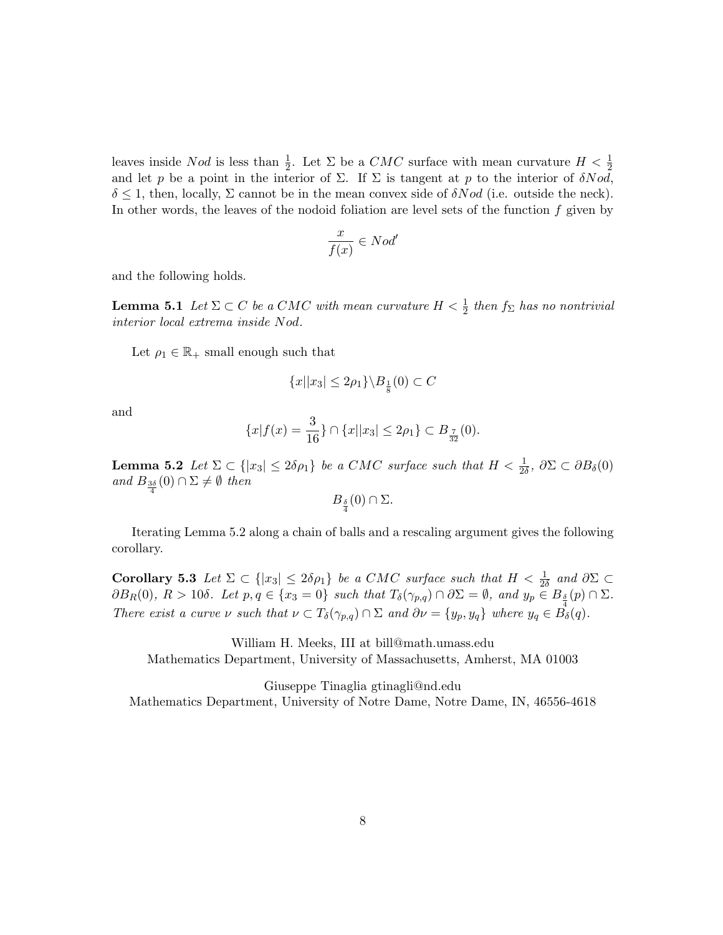leaves inside Nod is less than  $\frac{1}{2}$ . Let  $\Sigma$  be a CMC surface with mean curvature  $H < \frac{1}{2}$ and let p be a point in the interior of  $\Sigma$ . If  $\Sigma$  is tangent at p to the interior of  $\delta N o d$ ,  $\delta \leq 1$ , then, locally,  $\Sigma$  cannot be in the mean convex side of  $\delta Nod$  (i.e. outside the neck). In other words, the leaves of the nodoid foliation are level sets of the function  $f$  given by

$$
\frac{x}{f(x)} \in Nod'
$$

and the following holds.

**Lemma 5.1** Let  $\Sigma \subset C$  be a CMC with mean curvature  $H < \frac{1}{2}$  then  $f_{\Sigma}$  has no nontrivial interior local extrema inside Nod.

Let  $\rho_1 \in \mathbb{R}_+$  small enough such that

$$
\{x||x_3|\leq 2\rho_1\}\backslash B_{\frac{1}{8}}(0)\subset C
$$

and

$$
\{x|f(x) = \frac{3}{16}\} \cap \{x||x_3| \le 2\rho_1\} \subset B_{\frac{7}{32}}(0).
$$

**Lemma 5.2** Let  $\Sigma \subset \{|x_3| \leq 2\delta\rho_1\}$  be a CMC surface such that  $H < \frac{1}{2\delta}$ ,  $\partial\Sigma \subset \partial B_\delta(0)$ and  $B_{\frac{3\delta}{4}}(0) \cap \Sigma \neq \emptyset$  then

$$
B_{\frac{\delta}{4}}(0)\cap\Sigma.
$$

Iterating Lemma 5.2 along a chain of balls and a rescaling argument gives the following corollary.

Corollary 5.3 Let  $\Sigma \subset \{|x_3| \leq 2\delta\rho_1\}$  be a CMC surface such that  $H < \frac{1}{2\delta}$  and  $\partial\Sigma \subset$  $\partial B_R(0)$ ,  $R > 10\delta$ . Let  $p, q \in \{x_3 = 0\}$  such that  $T_\delta(\gamma_{p,q}) \cap \partial \Sigma = \emptyset$ , and  $y_p \in B_{\frac{\delta}{4}}(p) \cap \Sigma$ . There exist a curve  $\nu$  such that  $\nu \subset T_{\delta}(\gamma_{p,q}) \cap \Sigma$  and  $\partial \nu = \{y_p, y_q\}$  where  $y_q \in \overrightarrow{B_{\delta}}(q)$ .

William H. Meeks, III at bill@math.umass.edu Mathematics Department, University of Massachusetts, Amherst, MA 01003

Giuseppe Tinaglia gtinagli@nd.edu Mathematics Department, University of Notre Dame, Notre Dame, IN, 46556-4618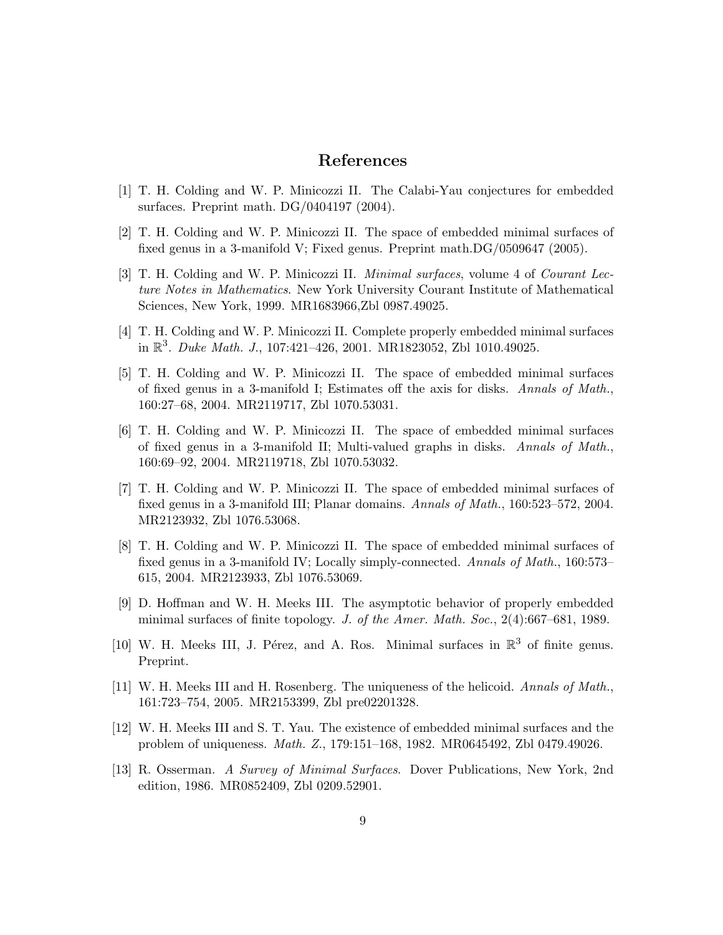# References

- [1] T. H. Colding and W. P. Minicozzi II. The Calabi-Yau conjectures for embedded surfaces. Preprint math. DG/0404197 (2004).
- [2] T. H. Colding and W. P. Minicozzi II. The space of embedded minimal surfaces of fixed genus in a 3-manifold V; Fixed genus. Preprint math.DG/0509647 (2005).
- [3] T. H. Colding and W. P. Minicozzi II. Minimal surfaces, volume 4 of Courant Lecture Notes in Mathematics. New York University Courant Institute of Mathematical Sciences, New York, 1999. MR1683966,Zbl 0987.49025.
- [4] T. H. Colding and W. P. Minicozzi II. Complete properly embedded minimal surfaces in  $\mathbb{R}^3$ . Duke Math. J., 107:421-426, 2001. MR1823052, Zbl 1010.49025.
- [5] T. H. Colding and W. P. Minicozzi II. The space of embedded minimal surfaces of fixed genus in a 3-manifold I; Estimates off the axis for disks. Annals of Math., 160:27–68, 2004. MR2119717, Zbl 1070.53031.
- [6] T. H. Colding and W. P. Minicozzi II. The space of embedded minimal surfaces of fixed genus in a 3-manifold II; Multi-valued graphs in disks. Annals of Math., 160:69–92, 2004. MR2119718, Zbl 1070.53032.
- [7] T. H. Colding and W. P. Minicozzi II. The space of embedded minimal surfaces of fixed genus in a 3-manifold III; Planar domains. Annals of Math., 160:523–572, 2004. MR2123932, Zbl 1076.53068.
- [8] T. H. Colding and W. P. Minicozzi II. The space of embedded minimal surfaces of fixed genus in a 3-manifold IV; Locally simply-connected. Annals of Math., 160:573– 615, 2004. MR2123933, Zbl 1076.53069.
- [9] D. Hoffman and W. H. Meeks III. The asymptotic behavior of properly embedded minimal surfaces of finite topology. J. of the Amer. Math. Soc., 2(4):667–681, 1989.
- [10] W. H. Meeks III, J. Pérez, and A. Ros. Minimal surfaces in  $\mathbb{R}^3$  of finite genus. Preprint.
- [11] W. H. Meeks III and H. Rosenberg. The uniqueness of the helicoid. Annals of Math., 161:723–754, 2005. MR2153399, Zbl pre02201328.
- [12] W. H. Meeks III and S. T. Yau. The existence of embedded minimal surfaces and the problem of uniqueness. Math. Z., 179:151–168, 1982. MR0645492, Zbl 0479.49026.
- [13] R. Osserman. A Survey of Minimal Surfaces. Dover Publications, New York, 2nd edition, 1986. MR0852409, Zbl 0209.52901.